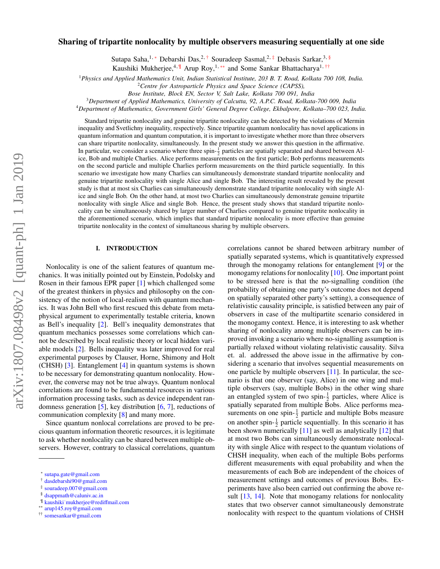# arXiv:1807.08498v2 [quant-ph] 1 Jan 2019 arXiv:1807.08498v2 [quant-ph] 1 Jan 2019

# Sharing of tripartite nonlocality by multiple observers measuring sequentially at one side

Sutapa Saha,<sup>1,[∗](#page-0-0)</sup> Debarshi Das,<sup>2,[†](#page-0-1)</sup> Souradeep Sasmal,<sup>2,[‡](#page-0-2)</sup> Debasis Sarkar,<sup>3, [§](#page-0-3)</sup>

Kaushiki Mukherjee,<sup>4, [¶](#page-0-4)</sup> Arup Roy,<sup>1,\*\*</sup> and Some Sankar Bhattacharya<sup>1,[††](#page-0-6)</sup>

<sup>1</sup>*Physics and Applied Mathematics Unit, Indian Statistical Institute, 203 B. T. Road, Kolkata 700 108, India.*

*Bose Institute, Block EN, Sector V, Salt Lake, Kolkata 700 091, India*

<sup>3</sup>*Department of Applied Mathematics, University of Calcutta, 92, A.P.C. Road, Kolkata-700 009, India*

<sup>4</sup>*Department of Mathematics, Government Girls' General Degree College, Ekbalpore, Kolkata–700 023, India.*

Standard tripartite nonlocality and genuine tripartite nonlocality can be detected by the violations of Mermin inequality and Svetlichny inequality, respectively. Since tripartite quantum nonlocality has novel applications in quantum information and quantum computation, it is important to investigate whether more than three observers can share tripartite nonlocality, simultaneously. In the present study we answer this question in the affirmative. In particular, we consider a scenario where three spin- $\frac{1}{2}$  particles are spatially separated and shared between Alice, Bob and multiple Charlies. Alice performs measurements on the first particle; Bob performs measurements on the second particle and multiple Charlies perform measurements on the third particle sequentially. In this scenario we investigate how many Charlies can simultaneously demonstrate standard tripartite nonlocality and genuine tripartite nonlocality with single Alice and single Bob. The interesting result revealed by the present study is that at most six Charlies can simultaneously demonstrate standard tripartite nonlocality with single Alice and single Bob. On the other hand, at most two Charlies can simultaneously demonstrate genuine tripartite nonlocality with single Alice and single Bob. Hence, the present study shows that standard tripartite nonlocality can be simultaneously shared by larger number of Charlies compared to genuine tripartite nonlocality in the aforementioned scenario, which implies that standard tripartite nonlocality is more effective than genuine tripartite nonlocality in the context of simultaneous sharing by multiple observers.

### I. INTRODUCTION

Nonlocality is one of the salient features of quantum mechanics. It was initially pointed out by Einstein, Podolsky and Rosen in their famous EPR paper [\[1\]](#page-6-0) which challenged some of the greatest thinkers in physics and philosophy on the consistency of the notion of local-realism with quantum mechanics. It was John Bell who first rescued this debate from metaphysical argument to experimentally testable criteria, known as Bell's inequality [\[2\]](#page-6-1). Bell's inequality demonstrates that quantum mechanics possesses some correlations which cannot be described by local realistic theory or local hidden variable models [\[2\]](#page-6-1). Bells inequality was later improved for real experimental purposes by Clauser, Horne, Shimony and Holt (CHSH) [\[3\]](#page-6-2). Entanglement [\[4\]](#page-6-3) in quantum systems is shown to be necessary for demonstrating quantum nonlocality. However, the converse may not be true always. Quantum nonlocal correlations are found to be fundamental resources in various information processing tasks, such as device independent randomness generation [\[5\]](#page-6-4), key distribution [\[6,](#page-6-5) [7\]](#page-6-6), reductions of communication complexity [\[8\]](#page-6-7) and many more.

Since quantum nonlocal correlations are proved to be precious quantum information theoretic resources, it is legitimate to ask whether nonlocality can be shared between multiple observers. However, contrary to classical correlations, quantum

<span id="page-0-4"></span>¶ [kaushiki˙mukherjee@redi](mailto:kaushiki_mukherjee@rediffmail.com)ffmail.com

correlations cannot be shared between arbitrary number of spatially separated systems, which is quantitatively expressed through the monogamy relations for entanglement [\[9\]](#page-6-8) or the monogamy relations for nonlocality [\[10\]](#page-6-9). One important point to be stressed here is that the no-signalling condition (the probability of obtaining one party's outcome does not depend on spatially separated other party's setting), a consequence of relativistic causality principle, is satisfied between any pair of observers in case of the multipartite scenario considered in the monogamy context. Hence, it is interesting to ask whether sharing of nonlocality among multiple observers can be improved invoking a scenario where no-signalling assumption is partially relaxed without violating relativistic causality. Silva et. al. addressed the above issue in the affirmative by considering a scenario that involves sequential measurements on one particle by multiple observers [\[11\]](#page-6-10). In particular, the scenario is that one observer (say, Alice) in one wing and multiple observers (say, multiple Bobs) in the other wing share an entangled system of two spin- $\frac{1}{2}$  particles, where Alice is spatially separated from multiple Bobs. Alice performs measurements on one spin- $\frac{1}{2}$  particle and multiple Bobs measure on another spin- $\frac{1}{2}$  particle sequentially. In this scenario it has been shown numerically [\[11\]](#page-6-10) as well as analytically [\[12\]](#page-6-11) that at most two Bobs can simultaneously demonstrate nonlocality with single Alice with respect to the quantum violations of CHSH inequality, when each of the multiple Bobs performs different measurements with equal probability and when the measurements of each Bob are independent of the choices of measurement settings and outcomes of previous Bobs. Experiments have also been carried out confirming the above re-sult [\[13,](#page-6-12) [14\]](#page-6-13). Note that monogamy relations for nonlocality states that two observer cannot simultaneously demonstrate nonlocality with respect to the quantum violations of CHSH

<sup>2</sup>*Centre for Astroparticle Physics and Space Science (CAPSS),*

<span id="page-0-0"></span><sup>∗</sup> [sutapa.gate@gmail.com](mailto:sutapa.gate@gmail.com)

<span id="page-0-1"></span><sup>†</sup> [dasdebarshi90@gmail.com](mailto:dasdebarshi90@gmail.com)

<span id="page-0-2"></span><sup>‡</sup> [souradeep.007@gmail.com](mailto:souradeep.007@gmail.com)

<span id="page-0-3"></span><sup>§</sup> [dsappmath@caluniv.ac.in](mailto:dsappmath@caluniv.ac.in)

<span id="page-0-5"></span><sup>∗∗</sup> [arup145.roy@gmail.com](mailto:arup145.roy@gmail.com)

<span id="page-0-6"></span><sup>††</sup> [somesankar@gmail.com](mailto:somesankar@gmail.com)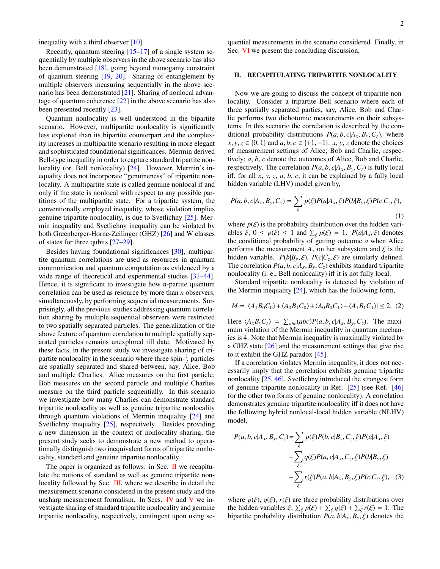inequality with a third observer [\[10\]](#page-6-9).

Recently, quantum steering [\[15](#page-6-14)[–17\]](#page-6-15) of a single system sequentially by multiple observers in the above scenario has also been demonstrated [\[18\]](#page-6-16), going beyond monogamy constraint of quantum steering [\[19,](#page-6-17) [20\]](#page-6-18). Sharing of entanglement by multiple observers measuring sequentially in the above scenario has been demonstrated [\[21\]](#page-6-19). Sharing of nonlocal advantage of quantum coherence [\[22\]](#page-6-20) in the above scenario has also been presented recently [\[23\]](#page-6-21).

Quantum nonlocality is well understood in the bipartite scenario. However, multipartite nonlocality is significantly less explored than its bipartite counterpart and the complexity increases in multipartite scenario resulting in more elegant and sophisticated foundational significances. Mermin derived Bell-type inequality in order to capture standard tripartite non-locality (or, Bell nonlocality) [\[24\]](#page-6-22). However, Mermin's inequality does not incorporate "genuineness" of tripartite nonlocality. A multipartite state is called genuine nonlocal if and only if the state is nonlocal with respect to any possible partitions of the multipartite state. For a tripartite system, the conventionally employed inequality, whose violation implies genuine tripartite nonlocality, is due to Svetlichny [\[25\]](#page-6-23). Mermin inequality and Svetlichny inequality can be violated by both Greenberger-Horne-Zeilinger (GHZ) [\[26\]](#page-6-24) and W classes of states for three qubits [\[27](#page-6-25)[–29\]](#page-6-26).

Besides having foundational significances [\[30\]](#page-7-0), multipartite quantum correlations are used as resources in quantum communication and quantum computation as evidenced by a wide range of theoretical and experimental studies [\[31](#page-7-1)[–44\]](#page-7-2). Hence, it is significant to investigate how *n*-partite quantum correlation can be used as resource by more than *n* observers, simultaneously, by performing sequential measurements. Surprisingly, all the previous studies addressing quantum correlation sharing by multiple sequential observers were restricted to two spatially separated particles. The generalization of the above feature of quantum correlation to multiple spatially separated particles remains unexplored till date. Motivated by these facts, in the present study we investigate sharing of tripartite nonlocality in the scenario where three spin- $\frac{1}{2}$  particles are spatially separated and shared between, say, Alice, Bob and multiple Charlies. Alice measures on the first particle; Bob measures on the second particle and multiple Charlies measure on the third particle sequentially. In this scenario we investigate how many Charlies can demonstrate standard tripartite nonlocality as well as genuine tripartite nonlocality through quantum violations of Mermin inequality [\[24\]](#page-6-22) and Svetlichny inequality [\[25\]](#page-6-23), respectively. Besides providing a new dimension in the context of nonlocality sharing, the present study seeks to demonstrate a new method to operationally distinguish two inequivalent forms of tripartite nonlocality, standard and genuine tripartite nonlocality.

The paper is organized as follows: in Sec.  $\Pi$  we recapitulate the notions of standard as well as genuine tripartite nonlocality followed by Sec. [III,](#page-2-0) where we describe in detail the measurement scenario considered in the present study and the unsharp measurement formalism. In Secs. [IV](#page-3-0) and [V](#page-4-0) we investigate sharing of standard tripartite nonlocality and genuine tripartite nonlocality, respectively, contingent upon using sequential measurements in the scenario considered. Finally, in Sec. [VI](#page-5-0) we present the concluding discussion.

### <span id="page-1-0"></span>II. RECAPITULATING TRIPARTITE NONLOCALITY

Now we are going to discuss the concept of tripartite nonlocality. Consider a tripartite Bell scenario where each of three spatially separated parties, say, Alice, Bob and Charlie performs two dichotomic measurements on their subsystems. In this scenario the correlation is described by the conditional probability distributions  $P(a, b, c|A_x, B_y, C_z)$ , where *x*, *y*, *z* ∈ {0, 1} and *a*, *b*, *c* ∈ {+1, −1}. *x*, *y*, *z* denote the choices of measurement settings of Alice, Bob and Charlie, respectively; *a*, *b*, *c* denote the outcomes of Alice, Bob and Charlie, respectively. The correlation  $P(a, b, c|A_x, B_y, C_z)$  is fully local iff, for all *x*, *y*, *z*, *a*, *b*, *c*, it can be explained by a fully local hidden variable (LHV) model given by,

$$
P(a,b,c|A_x,B_y,C_z) = \sum_{\xi} p(\xi)P(a|A_x,\xi)P(b|B_y,\xi)P(c|C_z,\xi),
$$
\n(1)

where  $p(\xi)$  is the probability distribution over the hidden variables  $\xi$ ;  $0 \le p(\xi) \le 1$  and  $\sum_{\xi} p(\xi) = 1$ .  $P(a|A_x, \xi)$  denotes the conditional probability of getting outcome *a* when Alice the conditional probability of getting outcome *a* when Alice performs the measurement  $A_x$  on her subsystem and  $\xi$  is the hidden variable.  $P(b|B_y, \xi)$ ,  $P(c|C_z, \xi)$  are similarly defined.<br>The correlation  $P(a, b, c|A, R, C)$  exhibits standard tripartite The correlation  $P(a, b, c | A_x, B_y, C_z)$  exhibits standard tripartite nonlocality (i. e., Bell nonlocality) iff it is not fully local.

Standard tripartite nonlocality is detected by violation of the Mermin inequality  $[24]$ , which has the following form,

<span id="page-1-1"></span>
$$
M = |\langle A_1 B_0 C_0 \rangle + \langle A_0 B_1 C_0 \rangle + \langle A_0 B_0 C_1 \rangle - \langle A_1 B_1 C_1 \rangle| \le 2. \tag{2}
$$

Here  $\langle A_x B_y C_z \rangle = \sum_{abc} (abc)P(a, b, c|A_x, B_y, C_z)$ . The maxi-<br>mum violation of the Mermin inequality in quantum mechanmum violation of the Mermin inequality in quantum mechanics is 4. Note that Mermin inequality is maximally violated by a GHZ state [\[26\]](#page-6-24) and the measurement settings that give rise to it exhibit the GHZ paradox [\[45\]](#page-7-3).

If a correlation violates Mermin inequality, it does not necessarily imply that the correlation exhibits genuine tripartite nonlocality [\[25,](#page-6-23) [46\]](#page-7-4). Svetlichny introduced the strongest form of genuine tripartite nonlocality in Ref. [\[25\]](#page-6-23) (see Ref. [\[46\]](#page-7-4) for the other two forms of genuine nonlocality). A correlation demonstrates genuine tripartite nonlocality iff it does not have the following hybrid nonlocal-local hidden variable (NLHV) model,

$$
P(a, b, c | A_x, B_y, C_z) = \sum_{\xi} p(\xi) P(b, c | B_y, C_z, \xi) P(a | A_x, \xi) + \sum_{\xi} q(\xi) P(a, c | A_x, C_z, \xi) P(b | B_y, \xi) + \sum_{\xi} r(\xi) P(a, b | A_x, B_y, \xi) P(c | C_z, \xi),
$$
 (3)

where  $p(\xi)$ ,  $q(\xi)$ ,  $r(\xi)$  are three probability distributions over the hidden variables  $\xi$ ;  $\sum_{\xi} p(\xi) + \sum_{\xi} q(\xi) + \sum_{\xi} r(\xi) = 1$ . The<br>binartite probability distribution  $P(a, b|A, R, \xi)$  denotes the bipartite probability distribution  $P(a, b|A_x, B_y, \xi)$  denotes the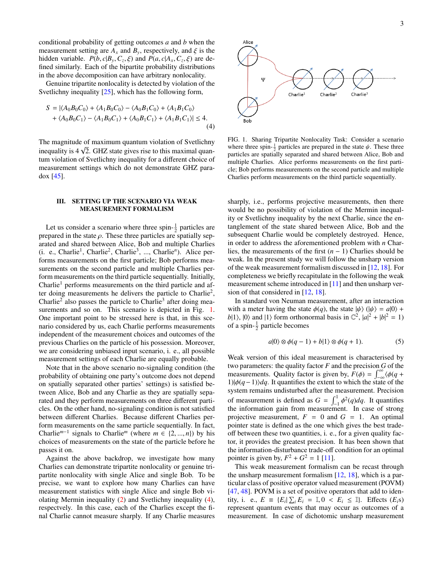conditional probability of getting outcomes *a* and *b* when the measurement setting are  $A_x$  and  $B_y$ , respectively, and  $\xi$  is the hidden variable.  $P(b, c|B_y, C_z, \xi)$  and  $P(a, c|A_x, C_z, \xi)$  are de-<br>fined similarly. Each of the binartite probability distributions fined similarly. Each of the bipartite probability distributions in the above decomposition can have arbitrary nonlocality.

Genuine tripartite nonlocality is detected by violation of the Svetlichny inequality [\[25\]](#page-6-23), which has the following form,

$$
S = |\langle A_0 B_0 C_0 \rangle + \langle A_1 B_0 C_0 \rangle - \langle A_0 B_1 C_0 \rangle + \langle A_1 B_1 C_0 \rangle
$$
  
+ 
$$
\langle A_0 B_0 C_1 \rangle - \langle A_1 B_0 C_1 \rangle + \langle A_0 B_1 C_1 \rangle + \langle A_1 B_1 C_1 \rangle| \le 4.
$$
  
(4)

The magnitude of maximum quantum violation of Svetlichny The magnitude of maximum quantum violation of Svetheriny inequality is  $4\sqrt{2}$ . GHZ state gives rise to this maximal quantum violation of Svetlichny inequality for a different choice of measurement settings which do not demonstrate GHZ paradox  $[45]$ .

### <span id="page-2-0"></span>III. SETTING UP THE SCENARIO VIA WEAK MEASUREMENT FORMALISM

Let us consider a scenario where three spin- $\frac{1}{2}$  particles are prepared in the state  $\rho$ . These three particles are spatially separated and shared between Alice, Bob and multiple Charlies (i. e., Charlie<sup>1</sup>, Charlie<sup>2</sup>, Charlie<sup>3</sup>, ..., Charlie<sup>n</sup>). Alice performs measurements on the first particle; Bob performs measurements on the second particle and multiple Charlies perform measurements on the third particle sequentially. Initially, Charlie<sup>1</sup> performs measurements on the third particle and after doing measurements he delivers the particle to Charlie<sup>2</sup>, Charlie<sup>2</sup> also passes the particle to Charlie<sup>3</sup> after doing mea-surements and so on. This scenario is depicted in Fig. [1.](#page-2-1) One important point to be stressed here is that, in this scenario considered by us, each Charlie performs measurements independent of the measurement choices and outcomes of the previous Charlies on the particle of his possession. Moreover, we are considering unbiased input scenario, i. e., all possible measurement settings of each Charlie are equally probable.

Note that in the above scenario no-signaling condition (the probability of obtaining one party's outcome does not depend on spatially separated other parties' settings) is satisfied between Alice, Bob and any Charlie as they are spatially separated and they perform measurements on three different particles. On the other hand, no-signaling condition is not satisfied between different Charlies. Because different Charlies perform measurements on the same particle sequentially. In fact, Charlie<sup>*m*−1</sup> signals to Charlie<sup>*m*</sup> (where  $m \in \{2, ..., n\}$ ) by his choices of measurements on the state of the particle before he choices of measurements on the state of the particle before he passes it on.

Against the above backdrop, we investigate how many Charlies can demonstrate tripartite nonlocality or genuine tripartite nonlocality with single Alice and single Bob. To be precise, we want to explore how many Charlies can have measurement statistics with single Alice and single Bob violating Mermin inequality [\(2\)](#page-1-1) and Svetlichny inequality [\(4\)](#page-2-2), respectvely. In this case, each of the Charlies except the final Charlie cannot measure sharply. If any Charlie measures



<span id="page-2-2"></span><span id="page-2-1"></span>FIG. 1. Sharing Tripartite Nonlocality Task: Consider a scenario where three spin- $\frac{1}{2}$  particles are prepared in the state  $\psi$ . These three<br>particles are spatially separated and shared between Alice. Bob and particles are spatially separated and shared between Alice, Bob and multiple Charlies. Alice performs measurements on the first particle; Bob performs measurements on the second particle and multiple Charlies perform measurements on the third particle sequentially.

sharply, i.e., performs projective measurements, then there would be no possibility of violation of the Mermin inequality or Svetlichny inequality by the next Charlie, since the entanglement of the state shared between Alice, Bob and the subsequent Charlie would be completely destroyed. Hence, in order to address the aforementioned problem with *n* Charlies, the measurements of the first (*n* − 1) Charlies should be weak. In the present study we will follow the unsharp version of the weak measurement formalism discussed in [\[12,](#page-6-11) [18\]](#page-6-16). For completeness we briefly recapitulate in the following the weak measurement scheme introduced in [\[11\]](#page-6-10) and then unsharp ver-sion of that considered in [\[12,](#page-6-11) [18\]](#page-6-16).

In standard von Neuman measurement, after an interaction with a meter having the state  $\phi(q)$ , the state  $|\psi\rangle$  ( $|\psi\rangle = a|0\rangle +$  $b|1\rangle$ ,  $|0\rangle$  and  $|1\rangle$  form orthonormal basis in  $\mathbb{C}^2$ ,  $|a|^2 + |b|^2 = 1$ ) of a spin- $\frac{1}{2}$  particle becomes

$$
a|0\rangle \otimes \phi(q-1) + b|1\rangle \otimes \phi(q+1). \tag{5}
$$

Weak version of this ideal measurement is characterised by two parameters: the quality factor *F* and the precision *G* of the measurements. Quality factor is given by,  $F(\phi) = \int_{-\infty}^{\infty} \langle \phi(q + 1) | \phi(q-1) \rangle dq$ . It quantifies the extent to which the state of the 1)| $\phi(q-1)$ |*dq*. It quantifies the extent to which the state of the system remains undisturbed after the measurement. Precision of measurement is defined as  $G = \int_{-1}^{1} \phi^2(q) dq$ . It quantifies the information gain from measurement. In case of strong projective measurement,  $F = 0$  and  $G = 1$ . An optimal pointer state is defined as the one which gives the best tradeoff between these two quantities, i. e., for a given quality factor, it provides the greatest precision. It has been shown that the information-disturbance trade-off condition for an optimal pointer is given by,  $F^2 + G^2 = 1$  [\[11\]](#page-6-10).

This weak measurement formalism can be recast through the unsharp measurement formalism [\[12,](#page-6-11) [18\]](#page-6-16), which is a particular class of positive operator valued measurement (POVM) [\[47,](#page-7-5) [48\]](#page-7-6). POVM is a set of positive operators that add to identity, i. e.,  $E = \{E_i | \sum_i E_i = \mathbb{I}, 0 \le E_i \le \mathbb{I} \}$ . Effects  $(E_i)$  represent quantum events that may occur as outcomes of a represent quantum events that may occur as outcomes of a measurement. In case of dichotomic unsharp measurement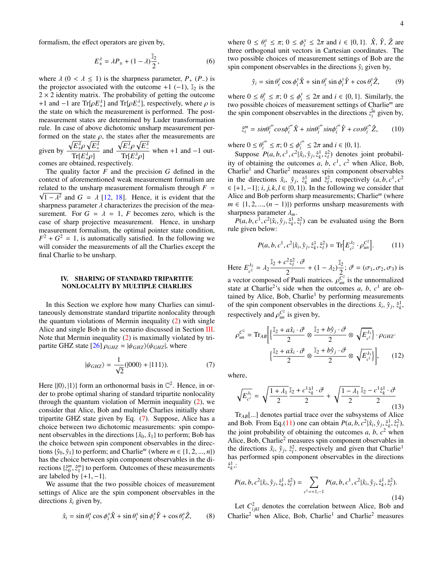formalism, the effect operators are given by,

$$
E_{\pm}^{\lambda} = \lambda P_{\pm} + (1 - \lambda) \frac{\mathbb{I}_2}{2},\tag{6}
$$

where  $\lambda$  (0 <  $\lambda \le 1$ ) is the sharpness parameter,  $P_+(P_-)$  is the projector associated with the outcome +1 (−1),  $\mathbb{I}_2$  is the  $2 \times 2$  identity matrix. The probability of getting the outcome +1 and −1 are Tr[ $ρE_+^{\lambda}$ ] and Tr[ $ρE_-^{\lambda}$ ], respectively, where  $ρ$  is<br>the state on which the measurement is performed. The postthe state on which the measurement is performed. The postmeasurement states are determined by Luder transformation rule. In case of above dichotomic unsharp measurement performed on the state  $\rho$ , the states after the measurements are given by  $\sqrt{E^{\lambda}_{+}} \rho \sqrt{E^{\lambda}_{+}}$  $Tr[E^{\lambda}_{+}\rho]$  and<br>botained, respectively  $\sqrt{E^{\lambda}_{-}} \rho \sqrt{E^{\lambda}_{-}}$ Tr[*E<sup>Δ</sup>ρ*]<br>≀elv. when  $+1$  and  $-1$  outcomes are obtained, respectively.

The quality factor *F* and the precision *G* defined in the context of aforementioned weak measurement formalism are related to the unsharp measurement formalism through  $F =$  $1 - \lambda^2$  and  $G = \lambda$  [\[12,](#page-6-11) [18\]](#page-6-16). Hence, it is evident that the parameter  $\lambda$  characterizes the precision of the measharpness parameter  $\lambda$  characterizes the precision of the measurement. For  $G = \lambda = 1$ , *F* becomes zero, which is the case of sharp projective measurement. Hence, in unsharp measurement formalism, the optimal pointer state condition,  $F^2 + G^2 = 1$ , is automatically satisfied. In the following we will consider the measurements of all the Charlies except the final Charlie to be unsharp.

### <span id="page-3-0"></span>IV. SHARING OF STANDARD TRIPARTITE NONLOCALITY BY MULTIPLE CHARLIES

In this Section we explore how many Charlies can simultaneously demonstrate standard tripartite nonlocality through the quantum violations of Mermin inequality [\(2\)](#page-1-1) with single Alice and single Bob in the scenario discussed in Section [III.](#page-2-0) Note that Mermin inequality [\(2\)](#page-1-1) is maximally violated by tri-partite GHZ state [\[26\]](#page-6-24)  $\rho_{GHZ} = |\psi_{GHZ}\rangle\langle\psi_{GHZ}|$ , where

<span id="page-3-1"></span>
$$
|\psi_{GHZ}\rangle = \frac{1}{\sqrt{2}}(|000\rangle + |111\rangle). \tag{7}
$$

Here  $\{|0\rangle, |1\rangle\}$  form an orthonormal basis in  $\mathbb{C}^2$ . Hence, in order to probe optimal sharing of standard trinaritie nonlocality der to probe optimal sharing of standard tripartite nonlocality through the quantum violation of Mermin inequality [\(2\)](#page-1-1), we consider that Alice, Bob and multiple Charlies initially share tripartite GHZ state given by Eq. [\(7\)](#page-3-1). Suppose, Alice has a choice between two dichotomic measurements: spin component observables in the directions  $\{\hat{x}_0, \hat{x}_1\}$  to perform; Bob has the choice between spin component observables in the directions  $\{\hat{y}_0, \hat{y}_1\}$  to perform; and Charlie<sup>*m*</sup> (where  $m \in \{1, 2, ..., n\}$ ) has the choice between spin component observables in the directions  $\{\hat{z}_0^m, \hat{z}_1^m\}$  to perform. Outcomes of these measurements<br>are labeled by  $\{+1, -1\}$ are labeled by  $\{+1, -1\}$ .

We assume that the two possible choices of measurement settings of Alice are the spin component observables in the directions  $\hat{x}_i$  given by,

<span id="page-3-4"></span>
$$
\hat{x}_i = \sin \theta_i^x \cos \phi_i^x \hat{X} + \sin \theta_i^x \sin \phi_i^x \hat{Y} + \cos \theta_i^x \hat{Z},
$$
 (8)

where  $0 \le \theta_i^x \le \pi$ ;  $0 \le \phi_i^x \le 2\pi$  and  $i \in \{0, 1\}$ .  $\hat{X}$ ,  $\hat{Y}$ ,  $\hat{Z}$  are three orthogonal unit vectors in Cartesian coordinates. The three orthogonal unit vectors in Cartesian coordinates. The two possible choices of measurement settings of Bob are the spin component observables in the directions  $\hat{y}_i$  given by,

<span id="page-3-5"></span>
$$
\hat{y}_i = \sin \theta_i^y \cos \phi_i^y \hat{X} + \sin \theta_i^y \sin \phi_i^y \hat{Y} + \cos \theta_i^y \hat{Z}, \qquad (9)
$$

where  $0 \leq \theta_i^y$ <br>two possible  $\phi_i^y \leq \pi$ ;  $0 \leq \phi_i^y$ <br>
choices of mo  $i \leq 2\pi$  and  $i \in \{0, 1\}$ . Similarly, the seasurement settings of Charlie<sup>m</sup> are two possible choices of measurement settings of Charlie*<sup>m</sup>* are the spin component observables in the directions  $z_i^m$  given by,

<span id="page-3-6"></span>
$$
\hat{z}_i^m = \sin\theta_i^z \cos\phi_i^z \hat{X} + \sin\theta_i^z \sin\phi_i^z \hat{Y} + \cos\theta_i^z \hat{Z}, \qquad (10)
$$

where  $0 \leq \theta_i^{z^m}$ <br>Suppose *P*  $\overline{\zeta}_i^m \leq \pi$ ;  $0 \leq \phi_i^{\overline{z}^m}$ <br> *P(a, b, c*<sup>1</sup>  $c^2|\hat{x}_i$  $\frac{z^m}{i} \leq 2\pi$  and  $i \in \{0, 1\}$ .<br>  $\hat{x}$ ,  $\hat{y}$ ,  $\hat{z}^1$ ,  $\hat{z}^2$ ) denotes

Suppose  $P(a, b, c^1, c^2 | \hat{x}_i, \hat{y}_j, \hat{z}_i^1, \hat{z}_i^2)$  denotes joint probabil-<br>  $\sum_{i=1}^{\infty}$  of obtaining the outcomes  $a, b, c^1, c^2$  when Alice Bob ity of obtaining the outcomes  $a, b, c<sup>1</sup>, c<sup>2</sup>$  when Alice, Bob, Charlie<sup>1</sup> and Charlie<sup>2</sup> measures spin component observables in the directions  $\hat{x}_i$ ,  $\hat{y}_j$ ,  $\hat{z}_k^1$  and  $\hat{z}_i^2$ , respectively  $(a, b, c^1, c^2)$ <br> $\in \{+1, -1\}$ ; *i k*  $l \in \{0, 1\}$ ). In the following we consider that  $\in \{+1, -1\}; i, j, k, l \in \{0, 1\}$ ). In the following we consider that Alice and Bob perform sharp measurements; Charlie*<sup>m</sup>* (where  $m \in \{1, 2, ..., (n-1)\}\$  performs unsharp measurements with sharpness parameter λ*<sup>m</sup>*.

 $P(a, b, c^1, c^2 | \hat{x}_i, \hat{y}_j, \hat{z}_k^1, \hat{z}_l^2)$  can be evaluated using the Born e given below: rule given below:

<span id="page-3-2"></span>
$$
P(a, b, c^1, c^2 | \hat{x}_i, \hat{y}_j, \hat{z}_k^1, \hat{z}_l^2) = \text{Tr} \Big[ E_{c^2}^{\lambda_2} \cdot \rho_{un}^{C^2} \Big]. \tag{11}
$$

Here  $E_{c^2}^{\lambda_2} = \lambda_2$  $\frac{\mathbb{I}_2 + c^2 \hat{z}_l^2 \cdot \vec{\sigma}}{2} + (1 - \lambda_2)$  $\mathbb{I}_2$  $\frac{\sigma_2}{2}$ ;  $\vec{\sigma} = (\sigma_1, \sigma_2, \sigma_3)$  is a vector composed of Pauli matrices.  $\rho_{un}^{C^2}$  is the unnormalized<br>state at Charlie<sup>2</sup>'s side when the outcomes a h c<sup>1</sup> are obstate at Charlie<sup>2</sup>'s side when the outcomes *a*, *b*,  $c^1$  are obtained by Alice, Bob, Charlie<sup>1</sup> by performing measurements of the spin component observables in the directions  $\hat{x}_i$ ,  $\hat{y}_j$ ,  $\hat{z}_k^1$ , respectively and  $\rho_{un}^{C^2}$  is given by,

$$
\rho_{un}^{C^2} = \text{Tr}_{AB} \bigg[ \left\{ \frac{\mathbb{I}_2 + a\hat{x}_i \cdot \vec{\sigma}}{2} \otimes \frac{\mathbb{I}_2 + b\hat{y}_j \cdot \vec{\sigma}}{2} \otimes \sqrt{E_{c^1}^{\lambda_1}} \right\} \cdot \rho_{GHZ} \cdot \left\{ \frac{\mathbb{I}_2 + a\hat{x}_i \cdot \vec{\sigma}}{2} \otimes \frac{\mathbb{I}_2 + b\hat{y}_j \cdot \vec{\sigma}}{2} \otimes \sqrt{E_{c^1}^{\lambda_1}} \right\}, \qquad (12)
$$

where,

$$
\sqrt{E_{c^1}^{\lambda_1}} = \sqrt{\frac{1+\lambda_1}{2}} \frac{\mathbb{I}_2 + c^1 \hat{z}_k^1 \cdot \vec{\sigma}}{2} + \sqrt{\frac{1-\lambda_1}{2}} \frac{\mathbb{I}_2 - c^1 \hat{z}_k^1 \cdot \vec{\sigma}}{2}
$$
\n(13)

Tr*AB*[...] denotes partial trace over the subsystems of Alice and Bob. From Eq.[\(11\)](#page-3-2) one can obtain  $P(a, b, c^2 | \hat{x}_i, \hat{y}_j, \hat{z}_k^1, \hat{z}_l^2)$ , the joint probability of obtaining the outcomes  $a, b, c^2$  when the joint probability of obtaining the outcomes  $a, b, c<sup>2</sup>$  when Alice, Bob, Charlie<sup>2</sup> measures spin component observables in the directions  $\hat{x}_i$ ,  $\hat{y}_j$ ,  $\hat{z}_i^2$ , respectively and given that Charlie<sup>1</sup> has performed spin component observables in the directions  $\hat{z}_k^1$ .:

<span id="page-3-3"></span>
$$
P(a, b, c^2 | \hat{x}_i, \hat{y}_j, \hat{z}_k^1, \hat{z}_l^2) = \sum_{c^1 = +1, -1} P(a, b, c^1, c^2 | \hat{x}_i, \hat{y}_j, \hat{z}_k^1, \hat{z}_l^2).
$$
\n(14)

Let  $C_{ijkl}^2$  denotes the correlation between Alice, Bob and Charlie<sup>2</sup> when Alice, Bob, Charlie<sup>1</sup> and Charlie<sup>2</sup> measures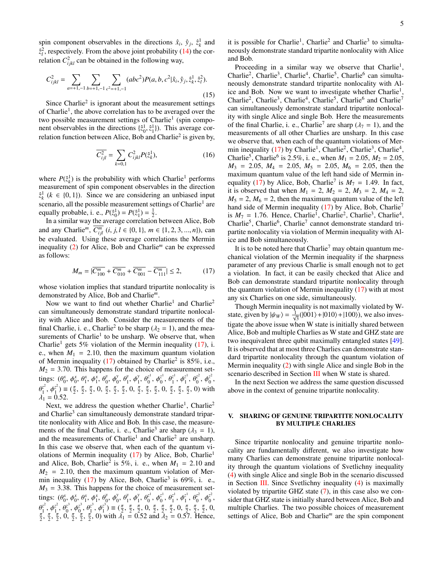spin component observables in the directions  $\hat{x}_i$ ,  $\hat{y}_j$ ,  $\hat{z}_k^1$  and  $\hat{z}_l^2$ , respectively. From the above joint probability [\(14\)](#page-3-3) the correlation  $C_{ijkl}^2$  can be obtained in the following way,

$$
C_{ijkl}^2 = \sum_{a=+1,-1} \sum_{b=+1,-1} \sum_{c^2=+1,-1} (abc^2) P(a,b,c^2 | \hat{x}_i, \hat{y}_j, \hat{z}_k^1, \hat{z}_l^2).
$$
\n(15)

Since Charlie<sup>2</sup> is ignorant about the measurement settings of Charlie<sup>1</sup>, the above correlation has to be averaged over the two possible measurement settings of Charlie<sup>1</sup> (spin component observables in the directions  $\{\hat{z}_0^1, \hat{z}_1^1\}$ . This average cor-<br>relation function between Alice, Bob and Charlie<sup>2</sup> is given by relation function between Alice, Bob and Charlie<sup>2</sup> is given by,

$$
\overline{C_{ijkl}^2} = \sum_{k=0,1} C_{ijkl}^2 P(\hat{z}_k^1),
$$
 (16)

where  $P(\hat{z}_k^1)$  is the probability with which Charlie<sup>1</sup> performs measurement of spin component observables in the direction  $\hat{z}_k^{\dagger}$  (*k* ∈ {0, 1}). Since we are considering an unbiased input scenario, all the possible measurement settings of Charlie<sup>1</sup> are equally probable, i. e.,  $P(\hat{z}_0^1) = P(\hat{z}_1^1) = \frac{1}{2}$ .

In a similar way the average correlation between Alice, Bob and any Charlie<sup>*m*</sup>,  $\overline{C_{ijl}^m}$  (*i*, *j*, *l* ∈ {0, 1}, *m* ∈ {1, 2, 3, ..., *n*}), can be evaluated. Using these average correlations the Mermin inequality [\(2\)](#page-1-1) for Alice, Bob and Charlie*<sup>m</sup>* can be expressed as follows:

<span id="page-4-1"></span>
$$
M_m = |\overline{C_{100}^m} + \overline{C_{010}^m} + \overline{C_{001}^m} - \overline{C_{111}^m}| \le 2, \tag{17}
$$

whose violation implies that standard tripartite nonlocality is demonstrated by Alice, Bob and Charlie*<sup>m</sup>*.

Now we want to find out whether Charlie<sup>1</sup> and Charlie<sup>2</sup> can simultaneously demonstrate standard tripartite nonlocality with Alice and Bob. Consider the measurements of the final Charlie, i. e., Charlie<sup>2</sup> to be sharp ( $\lambda_2 = 1$ ), and the mea-<br>surements of Charlie<sup>1</sup> to be unsharp. We observe that when surements of Charlie<sup>1</sup> to be unsharp. We observe that, when Charlie<sup>1</sup> gets 5% violation of the Mermin inequality [\(17\)](#page-4-1), i. e., when  $M_1 = 2.10$ , then the maximum quantum violation of Mermin inequality [\(17\)](#page-4-1) obtained by Charlie<sup>2</sup> is 85%, i.e.,  $M_2$  = 3.70. This happens for the choice of measurement settings:  $(\theta_0^x, \phi_0^x, \theta_1^x, \phi_1^x, \theta_0^y)$  $\phi_0^y$ ,  $\phi_0^y$  $\int_{0}^{y}$ ,  $\theta_1^y$  $\phi_1^y, \phi_1^y$  $\frac{y}{1}$ ,  $\theta_0^{z^1}$  $\phi_0^{z^1}$ ,  $\phi_0^{z^1}$  $\frac{z^1}{0}, \theta_1^{z^1}$  $\phi_1^{z^1}$ ,  $\phi_1^{z^1}$  $\frac{z^1}{1}, \theta_0^{z^2}$  $\phi_0^z$ ,  $\phi_0^z$ <sup>2</sup>  $_{0}^{\mathcal{Z}^{\ast }}% \text{ \ }C^{\ast }=\gamma _{\alpha }^{\alpha }\text{ \ }C^{\alpha }=\gamma _{\alpha }^{\alpha }\text{,} \label{eq2.1.1}$  $\lambda_1 = 0.52.$ <br>Next u *z* 2  $\phi_1^z$ ,  $\phi_1^z$ <br> $\phi_1^z$  $\binom{z^2}{1} \equiv \left(\frac{\pi}{2}, \frac{\pi}{2}, \frac{\pi}{2}, 0, \frac{\pi}{2}, \frac{\pi}{2}, \frac{\pi}{2}, 0, \frac{\pi}{2}, \frac{\pi}{2}, \frac{\pi}{2}, 0, \frac{\pi}{2}, \frac{\pi}{2}, 0, \frac{\pi}{2}, \frac{\pi}{2}, 0\right)$  with

Next, we address the question whether Charlie<sup>1</sup>, Charlie<sup>2</sup> and Charlie<sup>3</sup> can simultaneously demonstrate standard tripartite nonlocality with Alice and Bob. In this case, the measurements of the final Charlie, i. e., Charlie<sup>3</sup> are sharp ( $\lambda_3 = 1$ ),<br>and the measurements of Charlie<sup>1</sup> and Charlie<sup>2</sup> are unsharp and the measurements of Charlie<sup>1</sup> and Charlie<sup>2</sup> are unsharp. In this case we observe that, when each of the quantum vi-olations of Mermin inequality [\(17\)](#page-4-1) by Alice, Bob, Charlie<sup>1</sup> and Alice, Bob, Charlie<sup>2</sup> is 5%, i. e., when  $M_1 = 2.10$  and  $M_2 = 2.10$  then the maximum quantum violation of Mer- $M_2$  = 2.10, then the maximum quantum violation of Mermin inequality  $(17)$  by Alice, Bob, Charlie<sup>3</sup> is 69%, i. e.,  $M_3$  = 3.38. This happens for the choice of measurement settings:  $(\theta_0^x, \phi_0^x, \theta_1^x, \phi_1^x, \theta_0^y)$  $\phi_0^y, \phi_0^y$  $\frac{y}{\sigma}$ ,  $\theta_1^y$  $\int_{1}^{y}$ ,  $\phi_{1}^{y}$  $\frac{y}{1}$ ,  $\theta_0^{z^1}$  $\phi_0^{\bar{z}^1}, \phi_0^{\bar{z}^1}$  $\frac{z^1}{0}, \frac{\theta_1^{z^1}}{\pi}$  $\phi_1^{z^1}$ ,  $\phi_1^{z^1}$  $\frac{z^1}{1}, \frac{\theta_0^{z^2}}{\pi}$  $\phi_0^{z^2}$ ,  $\phi_0^{z^2}$  $_{0}^{\mathit{z}^{\ast }},$ θ *z* 2  $\frac{z^2}{1}, \phi_{1}^{z^2}$  $\frac{z^2}{1}, \frac{\theta_0^{z^3}}{0}$  $\phi_0^{z^3}$ ,  $\phi_0^{z^3}$ <br> $\phi_1^{z^3}$  $\frac{\sigma^3}{\underline{\sigma}}$ ,  $\frac{\theta_1^2}{\underline{\sigma}}$  $\phi_1^2$ ,  $\phi_1^2$ <br>  $\vdots$  0)  $\bar{x}$  $\binom{z}{1} \equiv \left(\frac{\pi}{2}, \frac{\pi}{2}, \frac{\pi}{2}, 0, \frac{\pi}{2}, \frac{\pi}{2}, \frac{\pi}{2}, 0, \frac{\pi}{2}, \frac{\pi}{2}, 0, \frac{\pi}{2}, \frac{\pi}{2}, 0, \frac{\pi}{2}\right)$  $\frac{\pi}{2}$ ,  $\frac{\pi}{2}$ ,  $\frac{\pi}{2}$ , 0,  $\frac{\pi}{2}$ ,  $\frac{\pi}{2}$ ,  $\frac{\pi}{2}$ , 0) with  $\lambda_1 = 0.52$  and  $\lambda_2 = 0.57$ . Hence,

it is possible for Charlie<sup>1</sup>, Charlie<sup>2</sup> and Charlie<sup>3</sup> to simultaneously demonstrate standard tripartite nonlocality with Alice and Bob.

Proceeding in a similar way we observe that Charlie<sup>1</sup>, Charlie<sup>2</sup>, Charlie<sup>3</sup>, Charlie<sup>4</sup>, Charlie<sup>5</sup>, Charlie<sup>6</sup> can simultaneously demonstrate standard tripartite nonlocality with Alice and Bob. Now we want to investigate whether Charlie<sup>1</sup>, Charlie<sup>2</sup>, Charlie<sup>3</sup>, Charlie<sup>4</sup>, Charlie<sup>5</sup>, Charlie<sup>6</sup> and Charlie<sup>7</sup> can simultaneously demonstrate standard tripartite nonlocality with single Alice and single Bob. Here the measurements of the final Charlie, i. e., Charlie<sup>7</sup> are sharp ( $\lambda_7 = 1$ ), and the measurements of all other Charlies are unsharp. In this case measurements of all other Charlies are unsharp. In this case we observe that, when each of the quantum violations of Mer-min inequality [\(17\)](#page-4-1) by Charlie<sup>1</sup>, Charlie<sup>2</sup>, Charlie<sup>3</sup>, Charlie<sup>4</sup>, Charlie<sup>5</sup>, Charlie<sup>6</sup> is 2.5%, i. e., when  $M_1 = 2.05$ ,  $M_2 = 2.05$ ,<br> $M_3 = 2.05$ ,  $M_4 = 2.05$ ,  $M_5 = 2.05$ ,  $M_6 = 2.05$ , then the  $M_3$  = 2.05,  $M_4$  = 2.05,  $M_5$  = 2.05,  $M_6$  = 2.05, then the maximum quantum value of the left hand side of Mermin in-equality [\(17\)](#page-4-1) by Alice, Bob, Charlie<sup>7</sup> is  $M_7 = 1.49$ . In fact, it is observed that when  $M_1 = 2$ ,  $M_2 = 2$ ,  $M_3 = 2$ ,  $M_4 = 2$ it is observed that when  $M_1 = 2$ ,  $M_2 = 2$ ,  $M_3 = 2$ ,  $M_4 = 2$ ,  $M_5 = 2$ ,  $M_6 = 2$ , then the maximum quantum value of the left hand side of Mermin inequality [\(17\)](#page-4-1) by Alice, Bob, Charlie<sup>7</sup> is  $M_7 = 1.76$ . Hence, Charlie<sup>1</sup>, Charlie<sup>2</sup>, Charlie<sup>3</sup>, Charlie<sup>4</sup>, Charlie<sup>4</sup>, Charlie<sup>4</sup>, Charlie<sup>4</sup>, Charlie<sup>4</sup>, Charlie<sup>4</sup>, Charlie<sup>4</sup>, Charlie<sup>4</sup>, Charlie<sup>4</sup>, Charlie<sup>4</sup>, Charlie<sup>4</sup>, Charlie<sup>4</sup>, Charlie<sup>4</sup>, Charli Charlie<sup>5</sup>, Charlie<sup>6</sup>, Charlie<sup>7</sup> cannot demonstrate standard tripartite nonlocality via violation of Mermin inequality with Alice and Bob simultaneously.

It is to be noted here that  $Charlie<sup>7</sup>$  may obtain quantum mechanical violation of the Mermin inequality if the sharpness parameter of any previous Charlie is small enough not to get a violation. In fact, it can be easily checked that Alice and Bob can demonstrate standard tripartite nonlocality through the quantum violation of Mermin inequality [\(17\)](#page-4-1) with at most any six Charlies on one side, simultaneously.

Though Mermin inequality is not maximally violated by Wstate, given by  $|\psi_W\rangle = \frac{1}{\sqrt{3}}(|001\rangle + |010\rangle + |100\rangle)$ , we also investigate the above issue when W state is initially shared between Alice, Bob and multiple Charlies as W state and GHZ state are two inequivalent three qubit maximally entangled states [\[49\]](#page-7-7). It is observed that at most three Charlies can demonstrate standard tripartite nonlocality through the quantum violation of Mermin inequality [\(2\)](#page-1-1) with single Alice and single Bob in the scenario described in Section [III](#page-2-0) when W state is shared.

In the next Section we address the same question discussed above in the context of genuine tripartite nonlocality.

## <span id="page-4-0"></span>V. SHARING OF GENUINE TRIPARTITE NONLOCALITY BY MULTIPLE CHARLIES

Since tripartite nonlocality and genuine tripartite nonlocality are fundamentally different, we also investigate how many Charlies can demonstrate genuine tripartite nonlocality through the quantum violations of Svetlichny inequality [\(4\)](#page-2-2) with single Alice and single Bob in the scenario discussed in Section [III.](#page-2-0) Since Svetlichny inequality  $(4)$  is maximally violated by tripartite GHZ state [\(7\)](#page-3-1), in this case also we consider that GHZ state is initially shared between Alice, Bob and multiple Charlies. The two possible choices of measurement settings of Alice, Bob and Charlie*<sup>m</sup>* are the spin component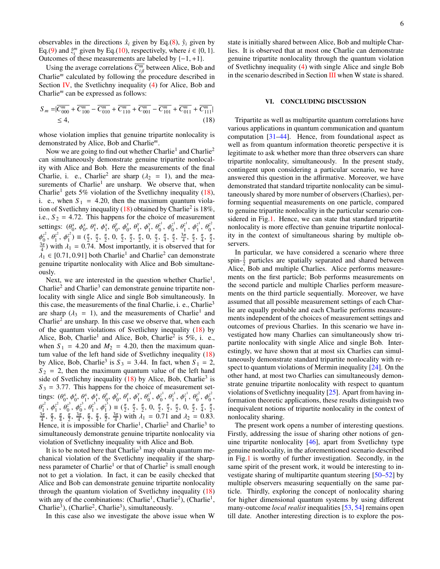observables in the directions  $\hat{x}_i$  given by Eq.[\(8\)](#page-3-4),  $\hat{y}_i$  given by Eq.[\(9\)](#page-3-5) and  $\hat{z}_i^m$  given by Eq.[\(10\)](#page-3-6), respectively, where  $i \in \{0, 1\}$ .<br>Outcomes of these measurements are labeled by  $\{-1, +1\}$ . Outcomes of these measurements are labeled by  $\{-1, +1\}$ .

Using the average correlations  $\overline{C_{ijl}^m}$  between Alice, Bob and Charlie*<sup>m</sup>* calculated by following the procedure described in Section [IV,](#page-3-0) the Svetlichny inequality [\(4\)](#page-2-2) for Alice, Bob and Charlie*<sup>m</sup>* can be expressed as follows:

$$
S_m = |\overline{C_{000}^m} + \overline{C_{100}^m} - \overline{C_{010}^m} + \overline{C_{110}^m} + \overline{C_{001}^m} - \overline{C_{101}^m} + \overline{C_{011}^m} + \overline{C_{111}^m}|
$$
  
  $\leq 4,$  (18)

whose violation implies that genuine tripartite nonlocality is demonstrated by Alice, Bob and Charlie*m*.

Now we are going to find out whether Charlie<sup>1</sup> and Charlie<sup>2</sup> can simultaneously demonstrate genuine tripartite nonlocality with Alice and Bob. Here the measurements of the final Charlie, i. e., Charlie<sup>2</sup> are sharp ( $\lambda_2 = 1$ ), and the mea-<br>surements of Charlie<sup>1</sup> are unsharp. We observe that when surements of Charlie<sup>1</sup> are unsharp. We observe that, when Charlie<sup>1</sup> gets 5% violation of the Svetlichny inequality  $(18)$ , i. e., when  $S_1 = 4.20$ , then the maximum quantum viola-tion of Svetlichny inequality [\(18\)](#page-5-1) obtained by Charlie<sup>2</sup> is 18%, i.e.,  $S_2 = 4.72$ . This happens for the choice of measurement settings:  $(\theta_0^x, \phi_0^x, \theta_1^x, \phi_1^x, \theta_0^y)$  $\phi_0^y$ ,  $\phi_0^y$  $\frac{y}{\sigma}$ ,  $\theta_1^y$  $\phi_1^y$ ,  $\phi_1^y$  $\frac{y}{1}$ ,  $\theta_0^{z^1}$  $\phi_0^{\zeta^1}, \phi_0^{\zeta^1}$  $\frac{z^1}{0}, \frac{\theta_1^{z^1}}{3\pi}$  $\frac{z^1}{1}, \frac{\phi_1^{z^1}}{\pi}$  $\frac{z^1}{1}, \frac{\theta_0^{z^2}}{\pi}$  $_{0}^{\mathcal{Z}^{\ast }}% \phi=\int_{0}^{\mathcal{Z}^{\ast }}\mathcal{E}^{\ast }\mathcal{E}^{\ast }\mathcal{E}^{\ast }\mathcal{E}^{\ast }$  $\frac{7}{3}$ *z* 2  $\begin{matrix} z^2 \\ 0 \end{matrix}$ ,  $\theta_1^{z^2}$  $\phi_1^z$ ,  $\phi_1^z$ <br>ith 1  $\binom{z^2}{1} \equiv \left(\frac{\pi}{2}, \frac{\pi}{2}, \frac{\pi}{2}, 0, \frac{\pi}{2}, \frac{\pi}{2}, \frac{\pi}{2}, 0, \frac{\pi}{2}, \frac{\pi}{4}, \frac{\pi}{2}, \frac{\pi}{4}, \frac{\pi}{2}, \frac{\pi}{4}, \frac{\pi}{2}, \frac{\pi}{4}\right)$  $\frac{3\pi}{4}$ ) with  $\lambda_1 = 0.74$ . Most importantly, it is observed that for  $\lambda_1 \in [0.71, 0.91]$  both Charlie<sup>1</sup> and Charlie<sup>2</sup> can demonstrate<br>genuine tripartite poplocality with Alice and Bob simultanegenuine tripartite nonlocality with Alice and Bob simultaneously.

Next, we are interested in the question whether Charlie<sup>1</sup>, Charlie<sup>2</sup> and Charlie<sup>3</sup> can demonstrate genuine tripartite nonlocality with single Alice and single Bob simultaneously. In this case, the measurements of the final Charlie, i. e., Charlie<sup>3</sup> are sharp ( $\lambda_3 = 1$ ), and the measurements of Charlie<sup>1</sup> and<br>Charlie<sup>2</sup> are unsharp. In this case we observe that when each Charlie<sup>2</sup> are unsharp. In this case we observe that, when each of the quantum violations of Svetlichny inequality [\(18\)](#page-5-1) by Alice, Bob, Charlie<sup>1</sup> and Alice, Bob, Charlie<sup>2</sup> is 5%, i. e., when  $S_1 = 4.20$  and  $M_2 = 4.20$ , then the maximum quantum value of the left hand side of Svetlichny inequality [\(18\)](#page-5-1) by Alice, Bob, Charlie<sup>3</sup> is  $S_3 = 3.44$ . In fact, when  $S_1 = 2$ ,  $S_2 = 2$ , then the maximum quantum value of the left hand  $S_2 = 2$ , then the maximum quantum value of the left hand side of Svetlichny inequality  $(18)$  by Alice, Bob, Charlie<sup>3</sup> is  $S_3 = 3.77$ . This happens for the choice of measurement set-<br>tings:  $(\alpha x + \alpha x + \alpha y + \alpha y + \alpha y + \alpha z^T + \alpha z^T + \alpha z^T + \alpha z^T + \alpha z^T + \alpha z^T + \alpha z^T + \alpha z^T + \alpha z^T + \alpha z^T + \alpha z^T + \alpha z^T + \alpha z^T + \alpha z^T + \alpha z^T + \alpha z^T + \alpha z^T + \alpha z^T + \alpha z^T + \alpha z^T + \alpha z^T + \alpha z^T +$ tings:  $(\theta_0^x, \phi_0^x, \theta_1^x, \phi_1^x, \theta_0^y)$  $\phi_0^y, \phi_0^y$  $\frac{y}{0}, \frac{\theta_1^y}{1}$  $\int_{1}^{y}$ ,  $\phi_{1}^{y}$  $\frac{y}{1}, \frac{\theta_0^{z^1}}{\pi}$  $\phi_0^{\bar{z}^1}$ ,  $\phi_0^{\bar{z}^1}$  $\frac{z^1}{0}, \frac{\theta_1^{z^1}}{\pi}$  $\phi_1^{\zeta^1}, \phi_1^{\zeta^1}$  $\frac{z^1}{1}, \frac{\theta_0^{z^2}}{\pi}$  $\phi_0^z$ ,  $\phi_0^z$ <br> $\frac{\pi}{\pi}$  $_{0}^{\mathcal{Z}^{\ast }}% \text{ \ }C^{\ast }=\gamma _{\alpha }^{\alpha }\text{ \ }C^{\alpha }=\gamma _{\alpha }^{\alpha }\text{,} \label{eq2.1.1}$ ί, *z* 2  $\frac{\pi^2}{1}, \frac{\phi_1^{z^2}}{\pi}$  $\frac{z^2}{1}, \frac{\theta_0^{z^3}}{\pi}$  $\frac{\pi^3}{9}, \frac{\phi_0^{z^3}}{3\pi}$  $\frac{z^3}{0}, \frac{\theta_1^{z^3}}{\pi}$  $\frac{z^3}{1}, \frac{\phi_1^{z^3}}{\pi}$  $\binom{z^3}{1} \equiv \left(\frac{\pi}{2}, \frac{\pi}{2}, \frac{\pi}{2}, 0, \frac{\pi}{2}, \frac{\pi}{2}, \frac{\pi}{2}, 0, \frac{\pi}{2}, \frac{\pi}{2}\right)$  $\frac{3\pi}{4}$ ,  $\frac{\pi}{2}$ ,  $\frac{\pi}{4}$ ,  $\frac{\pi}{2}$ ,  $\frac{\pi}{4}$ ,  $\frac{\pi}{2}$ ,  $\frac{3\pi}{4}$ ) with  $\lambda_1 = 0.71$  and  $\lambda_2 = 0.83$ .<br>Hence it is impossible for Charlie<sup>1</sup> Charlie<sup>2</sup> and Charlie<sup>3</sup> to Hence, it is impossible for Charlie<sup>1</sup>, Charlie<sup>2</sup> and Charlie<sup>3</sup> to simultaneously demonstrate genuine tripartite nonlocality via violation of Svetlichny inequality with Alice and Bob.

It is to be noted here that  $Charlie<sup>3</sup>$  may obtain quantum mechanical violation of the Svetlichny inequality if the sharpness parameter of Charlie<sup>1</sup> or that of Charlie<sup>2</sup> is small enough not to get a violation. In fact, it can be easily checked that Alice and Bob can demonstrate genuine tripartite nonlocality through the quantum violation of Svetlichny inequality [\(18\)](#page-5-1) with any of the combinations:  $(Charlie<sup>1</sup>, Charlie<sup>2</sup>), (Charlie<sup>1</sup>,$ Charlie<sup>3</sup>), (Charlie<sup>2</sup>, Charlie<sup>3</sup>), simultaneously.

In this case also we investigate the above issue when W

state is initially shared between Alice, Bob and multiple Charlies. It is observed that at most one Charlie can demonstrate genuine tripartite nonlocality through the quantum violation of Svetlichny inequality [\(4\)](#page-2-2) with single Alice and single Bob in the scenario described in Section [III](#page-2-0) when W state is shared.

### <span id="page-5-0"></span>VI. CONCLUDING DISCUSSION

<span id="page-5-1"></span>Tripartite as well as multipartite quantum correlations have various applications in quantum communication and quantum computation [\[31](#page-7-1)[–44\]](#page-7-2). Hence, from foundational aspect as well as from quantum information theoretic perspective it is legitimate to ask whether more than three observers can share tripartite nonlocality, simultaneously. In the present study, contingent upon considering a particular scenario, we have answered this question in the affirmative. Moreover, we have demonstrated that standard tripartite nonlocality can be simultaneously shared by more number of observers (Charlies), performing sequential measurements on one particle, compared to genuine tripartite nonlocality in the particular scenario considered in Fig[.1.](#page-2-1) Hence, we can state that standard tripartite nonlocality is more effective than genuine tripartite nonlocality in the context of simultaneous sharing by multiple observers.

In particular, we have considered a scenario where three spin- $\frac{1}{2}$  particles are spatially separated and shared between Alice, Bob and multiple Charlies. Alice performs measurements on the first particle; Bob performs measurements on the second particle and multiple Charlies perform measurements on the third particle sequentially. Moreover, we have assumed that all possible measurement settings of each Charlie are equally probable and each Charlie performs measurements independent of the choices of measurement settings and outcomes of previous Charlies. In this scenario we have investigated how many Charlies can simultaneously show tripartite nonlocality with single Alice and single Bob. Interestingly, we have shown that at most six Charlies can simultaneously demonstrate standard tripartite nonlocality with re-spect to quantum violations of Mermin inequality [\[24\]](#page-6-22). On the other hand, at most two Charlies can simultaneously demonstrate genuine tripartite nonlocality with respect to quantum violations of Svetlichny inequality [\[25\]](#page-6-23). Apart from having information theoretic applications, these results distinguish two inequivalent notions of tripartite nonlocality in the context of nonlocality sharing.

The present work opens a number of interesting questions. Firstly, addressing the issue of sharing other notions of genuine tripartite nonlocality [\[46\]](#page-7-4), apart from Svetlichny type genuine nonlocality, in the aforementioned scenario described in Fig[.1](#page-2-1) is worthy of further investigation. Secondly, in the same spirit of the present work, it would be interesting to investigate sharing of multipartite quantum steering [\[50](#page-7-8)[–52\]](#page-7-9) by multiple observers measuring sequentially on the same particle. Thirdly, exploring the concept of nonlocality sharing for higher dimensional quantum systems by using different many-outcome *local realist* inequalities [\[53,](#page-7-10) [54\]](#page-7-11) remains open till date. Another interesting direction is to explore the pos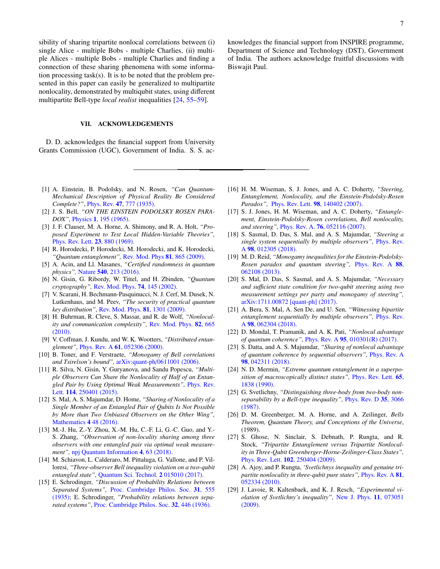sibility of sharing tripartite nonlocal correlations between (i) single Alice - multiple Bobs - multiple Charlies, (ii) multiple Alices - multiple Bobs - multiple Charlies and finding a connection of these sharing phenomena with some information processing task(s). It is to be noted that the problem presented in this paper can easily be generalized to multipartite nonlocality, demonstrated by multiqubit states, using different multipartite Bell-type *local realist* inequalities [\[24,](#page-6-22) [55](#page-7-12)[–59\]](#page-7-13).

### VII. ACKNOWLEDGEMENTS

D. D. acknowledges the financial support from University Grants Commission (UGC), Government of India. S. S. ac-

- <span id="page-6-0"></span>[1] A. Einstein, B. Podolsky, and N. Rosen, *"Can Quantum-Mechanical Description of Physical Reality Be Considered Complete?"*, Phys. Rev. 47[, 777 \(1935\).](https://journals.aps.org/pr/abstract/10.1103/PhysRev.47.777)
- <span id="page-6-1"></span>[2] J. S. Bell, *"ON THE EINSTEIN PODOLSKY ROSEN PARA-DOX",* Physics 1[, 195 \(1965\).](https://cds.cern.ch/record/111654/files/vol1p195-200_001.pdf)
- <span id="page-6-2"></span>[3] J. F. Clauser, M. A. Horne, A. Shimony, and R. A. Holt, *"Proposed Experiment to Test Local Hidden-Variable Theories",* [Phys. Rev. Lett.](https://journals.aps.org/prl/abstract/10.1103/PhysRevLett.23.880) 23, 880 (1969).
- <span id="page-6-3"></span>[4] R. Horodecki, P. Horodecki, M. Horodecki, and K. Horodecki, *"Quantum entanglement",* [Rev. Mod. Phys](https://journals.aps.org/rmp/abstract/10.1103/RevModPhys.81.865) 81, 865 (2009).
- <span id="page-6-4"></span>[5] A. Acin, and Ll. Masanes, *"Certified randomness in quantum physics",* Nature 540[, 213 \(2016\).](https://www.nature.com/articles/nature20119)
- <span id="page-6-5"></span>[6] N. Gisin, G. Ribordy, W. Tittel, and H. Zbinden, *"Quantum cryptography",* [Rev. Mod. Phys.](https://journals.aps.org/rmp/abstract/10.1103/RevModPhys.74.145) 74, 145 (2002).
- <span id="page-6-6"></span>[7] V. Scarani, H. Bechmann-Pasquinucci, N. J. Cerf, M. Dusek, N. Lutkenhaus, and M. Peev, *"The security of practical quantum key distribution",* [Rev. Mod. Phys.](https://journals.aps.org/rmp/abstract/10.1103/RevModPhys.81.1301) 81, 1301 (2009).
- <span id="page-6-7"></span>[8] H. Buhrman, R. Cleve, S. Massar, and R. de Wolf, *"Nonlocality and communication complexity",* [Rev. Mod. Phys.](https://journals.aps.org/rmp/abstract/10.1103/RevModPhys.82.665) 82, 665 [\(2010\).](https://journals.aps.org/rmp/abstract/10.1103/RevModPhys.82.665)
- <span id="page-6-8"></span>[9] V. Coffman, J. Kundu, and W. K. Wootters, *"Distributed entanglement",* Phys. Rev. A 61[, 052306 \(2000\).](https://journals.aps.org/pra/abstract/10.1103/PhysRevA.61.052306)
- <span id="page-6-9"></span>[10] B. Toner, and F. Verstraete, *"Monogamy of Bell correlations and Tsirelson's bound",* arXiv:quant-ph/[0611001 \(2006\).](https://arxiv.org/abs/quant-ph/0611001)
- <span id="page-6-10"></span>[11] R. Silva, N. Gisin, Y. Guryanova, and Sandu Popescu, *"Multiple Observers Can Share the Nonlocality of Half of an Entangled Pair by Using Optimal Weak Measurements",* [Phys. Rev.](https://journals.aps.org/prl/abstract/10.1103/PhysRevLett.114.250401) Lett. 114[, 250401 \(2015\).](https://journals.aps.org/prl/abstract/10.1103/PhysRevLett.114.250401)
- <span id="page-6-11"></span>[12] S. Mal, A. S. Majumdar, D. Home, *"Sharing of Nonlocality of a Single Member of an Entangled Pair of Qubits Is Not Possible by More than Two Unbiased Observers on the Other Wing",* [Mathematics](http://www.mdpi.com/2227-7390/4/3/48/htm) 4 48 (2016).
- <span id="page-6-12"></span>[13] M.-J. Hu, Z.-Y. Zhou, X.-M. Hu, C.-F. Li, G.-C. Guo, and Y.-S. Zhang, *"Observation of non-locality sharing among three observers with one entangled pair via optimal weak measurement",* [npj Quantum Information](https://www.nature.com/articles/s41534-018-0115-x) 4, 63 (2018).
- <span id="page-6-13"></span>[14] M. Schiavon, L. Calderaro, M. Pittaluga, G. Vallone, and P. Villoresi, *"Three-observer Bell inequality violation on a two-qubit entangled state",* [Quantum Sci. Technol.](http://iopscience.iop.org/article/10.1088/2058-9565/aa62be/meta) 2 015010 (2017).
- <span id="page-6-14"></span>[15] E. Schrodinger, *"Discussion of Probability Relations between Separated Systems",* [Proc. Cambridge Philos. Soc.](https://www.cambridge.org/core/journals/mathematical-proceedings-of-the-cambridge-philosophical-society/article/discussion-of-probability-relations-between-separated-systems/C1C71E1AA5BA56EBE6588AAACB9A222D) 31, 555 [\(1935\);](https://www.cambridge.org/core/journals/mathematical-proceedings-of-the-cambridge-philosophical-society/article/discussion-of-probability-relations-between-separated-systems/C1C71E1AA5BA56EBE6588AAACB9A222D) E. Schrodinger, *"Probability relations between separated systems"*, [Proc. Cambridge Philos. Soc.](https://www.cambridge.org/core/journals/mathematical-proceedings-of-the-cambridge-philosophical-society/article/probability-relations-between-separated-systems/641DDDED6FB033A1B190B458E0D02F22) 32, 446 (1936).

knowledges the financial support from INSPIRE programme, Department of Science and Technology (DST), Government of India. The authors acknowledge fruitful discussions with Biswajit Paul.

- [16] H. M. Wiseman, S. J. Jones, and A. C. Doherty, *"Steering, Entanglement, Nonlocality, and the Einstein-Podolsky-Rosen Paradox",* Phys. Rev. Lett. 98[, 140402 \(2007\).](https://journals.aps.org/prl/abstract/10.1103/PhysRevLett.98.140402)
- <span id="page-6-15"></span>[17] S. J. Jones, H. M. Wiseman, and A. C. Doherty, *"Entanglement, Einstein-Podolsky-Rosen correlations, Bell nonlocality, and steering",* Phys. Rev. A. 76[, 052116 \(2007\).](https://journals.aps.org/pra/abstract/10.1103/PhysRevA.76.052116)
- <span id="page-6-16"></span>[18] S. Sasmal, D. Das, S. Mal, and A. S. Majumdar, *"Steering a single system sequentially by multiple observers",* [Phys. Rev.](https://journals.aps.org/pra/abstract/10.1103/PhysRevA.98.012305) A 98[, 012305 \(2018\).](https://journals.aps.org/pra/abstract/10.1103/PhysRevA.98.012305)
- <span id="page-6-17"></span>[19] M. D. Reid, *"Monogamy inequalities for the Einstein-Podolsky-Rosen paradox and quantum steering",* [Phys. Rev. A](https://journals.aps.org/pra/abstract/10.1103/PhysRevA.88.062108) 88, [062108 \(2013\).](https://journals.aps.org/pra/abstract/10.1103/PhysRevA.88.062108)
- <span id="page-6-18"></span>[20] S. Mal, D. Das, S. Sasmal, and A. S. Majumdar, *"Necessary and su*ffi*cient state condition for two-qubit steering using two measurement settings per party and monogamy of steering",* [arXiv:1711.00872 \[quant-ph\] \(2017\).](https://arxiv.org/abs/1711.00872)
- <span id="page-6-19"></span>[21] A. Bera, S. Mal, A. Sen De, and U. Sen, *"Witnessing bipartite entanglement sequentially by multiple observers",* [Phys. Rev.](https://journals.aps.org/pra/abstract/10.1103/PhysRevA.98.062304) A 98[, 062304 \(2018\).](https://journals.aps.org/pra/abstract/10.1103/PhysRevA.98.062304)
- <span id="page-6-20"></span>[22] D. Mondal, T. Pramanik, and A. K. Pati, *"Nonlocal advantage of quantum coherence",* Phys. Rev. A 95[, 010301\(R\) \(2017\).](https://journals.aps.org/pra/abstract/10.1103/PhysRevA.95.010301)
- <span id="page-6-21"></span>[23] S. Datta, and A. S. Majumdar, *"Sharing of nonlocal advantage of quantum coherence by sequential observers",* [Phys. Rev. A](https://journals.aps.org/pra/abstract/10.1103/PhysRevA.98.042311) 98[, 042311 \(2018\).](https://journals.aps.org/pra/abstract/10.1103/PhysRevA.98.042311)
- <span id="page-6-22"></span>[24] N. D. Mermin, *"Extreme quantum entanglement in a superposition of macroscopically distinct states",* [Phys. Rev. Lett.](https://journals.aps.org/prl/abstract/10.1103/PhysRevLett.65.1838) 65, [1838 \(1990\).](https://journals.aps.org/prl/abstract/10.1103/PhysRevLett.65.1838)
- <span id="page-6-23"></span>[25] G. Svetlichny, *"Distinguishing three-body from two-body nonseparability by a Bell-type inequality",* [Phys. Rev. D](https://journals.aps.org/prd/abstract/10.1103/PhysRevD.35.3066) 35, 3066 [\(1987\).](https://journals.aps.org/prd/abstract/10.1103/PhysRevD.35.3066)
- <span id="page-6-24"></span>[26] D. M. Greenberger, M. A. Horne, and A. Zeilinger, *Bells Theorem, Quantum Theory, and Conceptions of the Universe*, (1989).
- <span id="page-6-25"></span>[27] S. Ghose, N. Sinclair, S. Debnath, P. Rungta, and R. Stock, *"Tripartite Entanglement versus Tripartite Nonlocality in Three-Qubit Greenberger-Horne-Zeilinger-Class States",* Phys. Rev. Lett. 102[, 250404 \(2009\).](https://journals.aps.org/prl/abstract/10.1103/PhysRevLett.102.250404)
- [28] A. Ajoy, and P. Rungta, *'Svetlichnys inequality and genuine tripartite nonlocality in three-qubit pure states",* [Phys. Rev. A](https://journals.aps.org/pra/abstract/10.1103/PhysRevA.81.052334) 81, [052334 \(2010\).](https://journals.aps.org/pra/abstract/10.1103/PhysRevA.81.052334)
- <span id="page-6-26"></span>[29] J. Lavoie, R. Kaltenbaek, and K. J. Resch, *"Experimental violation of Svetlichny's inequality",* [New J. Phys.](http://iopscience.iop.org/article/10.1088/1367-2630/11/7/073051/meta) 11, 073051 [\(2009\).](http://iopscience.iop.org/article/10.1088/1367-2630/11/7/073051/meta)